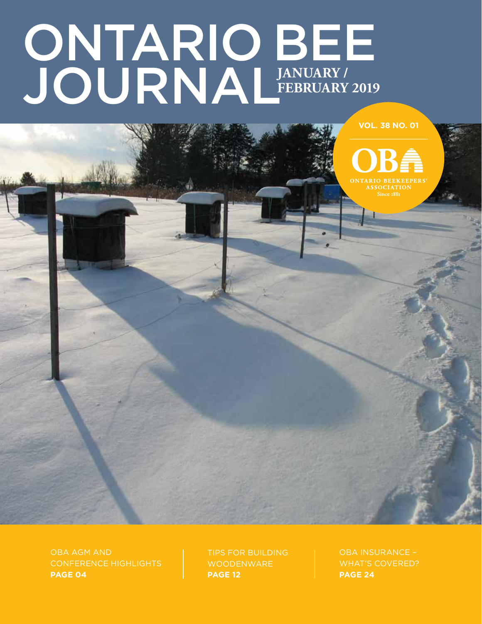# ONTARIO BEE JOURNAL **January / february 2019**

**VOL. 38 NO. 01**

OBA AGM and conference highlights **PAGE 04**

Tips for building woodenware **PAGE 12**

OBA insurance – WHAT'S COVERED? **PAGE 24**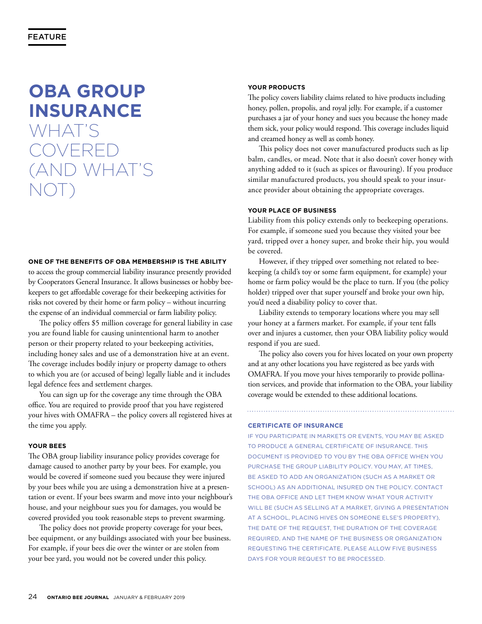# **OBA group insurance** what's **COVERE** (and what's not)

#### **One of the benefits of OBA membership is the ability**

to access the group commercial liability insurance presently provided by Cooperators General Insurance. It allows businesses or hobby beekeepers to get affordable coverage for their beekeeping activities for risks not covered by their home or farm policy – without incurring the expense of an individual commercial or farm liability policy.

 The policy offers \$5 million coverage for general liability in case you are found liable for causing unintentional harm to another person or their property related to your beekeeping activities, including honey sales and use of a demonstration hive at an event. The coverage includes bodily injury or property damage to others to which you are (or accused of being) legally liable and it includes legal defence fees and settlement charges.

 You can sign up for the coverage any time through the OBA office. You are required to provide proof that you have registered your hives with OMAFRA – the policy covers all registered hives at the time you apply.

# **Your bees**

The OBA group liability insurance policy provides coverage for damage caused to another party by your bees. For example, you would be covered if someone sued you because they were injured by your bees while you are using a demonstration hive at a presentation or event. If your bees swarm and move into your neighbour's house, and your neighbour sues you for damages, you would be covered provided you took reasonable steps to prevent swarming.

 The policy does not provide property coverage for your bees, bee equipment, or any buildings associated with your bee business. For example, if your bees die over the winter or are stolen from your bee yard, you would not be covered under this policy.

# **Your products**

The policy covers liability claims related to hive products including honey, pollen, propolis, and royal jelly. For example, if a customer purchases a jar of your honey and sues you because the honey made them sick, your policy would respond. This coverage includes liquid and creamed honey as well as comb honey.

 This policy does not cover manufactured products such as lip balm, candles, or mead. Note that it also doesn't cover honey with anything added to it (such as spices or flavouring). If you produce similar manufactured products, you should speak to your insurance provider about obtaining the appropriate coverages.

#### **Your place of business**

Liability from this policy extends only to beekeeping operations. For example, if someone sued you because they visited your bee yard, tripped over a honey super, and broke their hip, you would be covered.

 However, if they tripped over something not related to beekeeping (a child's toy or some farm equipment, for example) your home or farm policy would be the place to turn. If you (the policy holder) tripped over that super yourself and broke your own hip, you'd need a disability policy to cover that.

 Liability extends to temporary locations where you may sell your honey at a farmers market. For example, if your tent falls over and injures a customer, then your OBA liability policy would respond if you are sued.

 The policy also covers you for hives located on your own property and at any other locations you have registered as bee yards with OMAFRA. If you move your hives temporarily to provide pollination services, and provide that information to the OBA, your liability coverage would be extended to these additional locations.

**Certificate of insurance**

If you participate in markets or events, you may be asked to produce a general certificate of insurance. This document is provided to you by the OBA office when you purchase the group liability policy. You may, at times, be asked to add an organization (such as a market or school) as an additional insured on the policy. Contact the OBA office and let them know what your activity will be (such as selling at a market, giving a presentation at a school, placing hives on someone else's property), the date of the request, the duration of the coverage required, and the name of the business or organization requesting the certificate. Please allow five business days for your request to be processed.